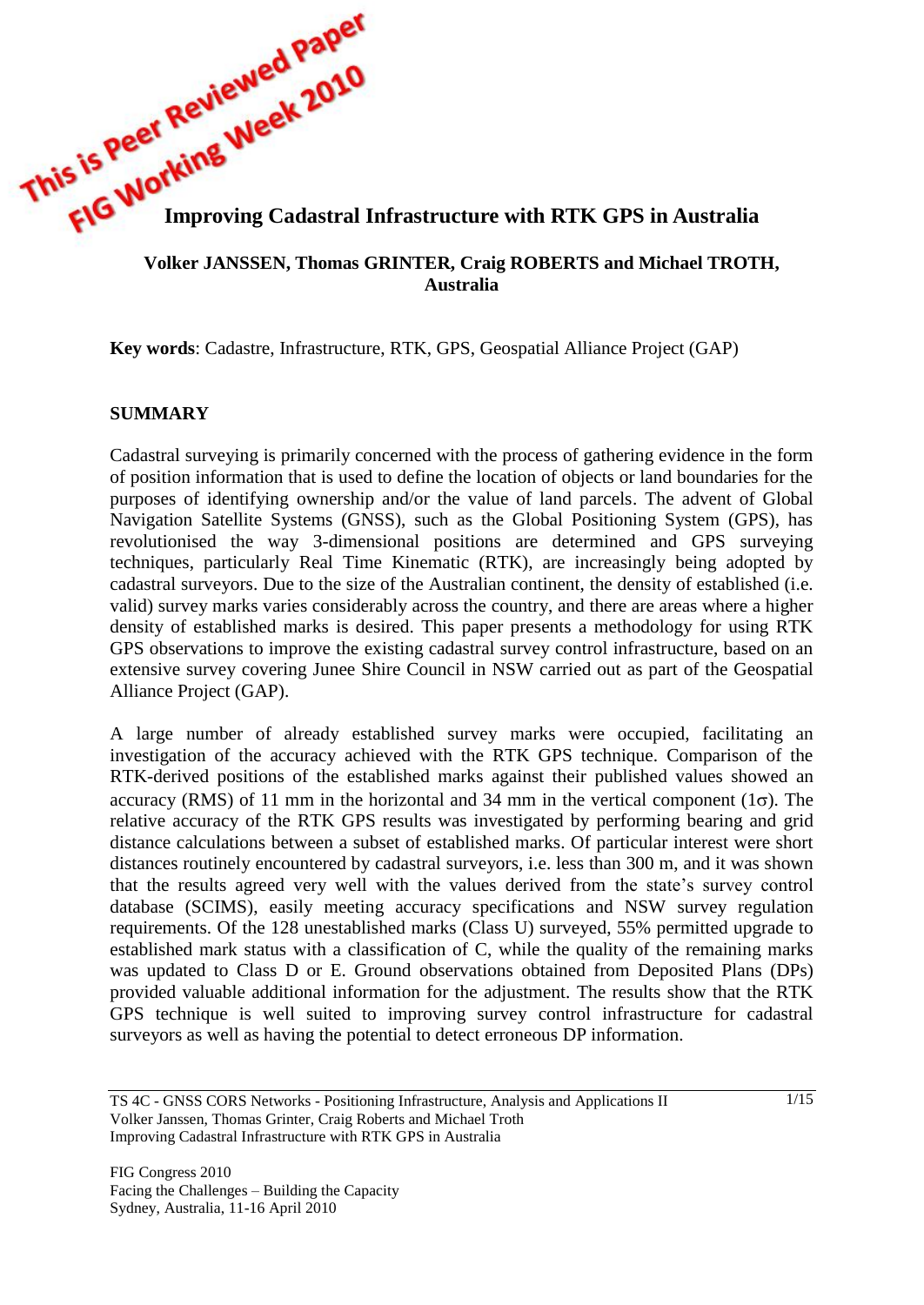

#### **Volker JANSSEN, Thomas GRINTER, Craig ROBERTS and Michael TROTH, Australia**

**Key words**: Cadastre, Infrastructure, RTK, GPS, Geospatial Alliance Project (GAP)

# **SUMMARY**

Cadastral surveying is primarily concerned with the process of gathering evidence in the form of position information that is used to define the location of objects or land boundaries for the purposes of identifying ownership and/or the value of land parcels. The advent of Global Navigation Satellite Systems (GNSS), such as the Global Positioning System (GPS), has revolutionised the way 3-dimensional positions are determined and GPS surveying techniques, particularly Real Time Kinematic (RTK), are increasingly being adopted by cadastral surveyors. Due to the size of the Australian continent, the density of established (i.e. valid) survey marks varies considerably across the country, and there are areas where a higher density of established marks is desired. This paper presents a methodology for using RTK GPS observations to improve the existing cadastral survey control infrastructure, based on an extensive survey covering Junee Shire Council in NSW carried out as part of the Geospatial Alliance Project (GAP).

A large number of already established survey marks were occupied, facilitating an investigation of the accuracy achieved with the RTK GPS technique. Comparison of the RTK-derived positions of the established marks against their published values showed an accuracy (RMS) of 11 mm in the horizontal and 34 mm in the vertical component ( $1\sigma$ ). The relative accuracy of the RTK GPS results was investigated by performing bearing and grid distance calculations between a subset of established marks. Of particular interest were short distances routinely encountered by cadastral surveyors, i.e. less than 300 m, and it was shown that the results agreed very well with the values derived from the state's survey control database (SCIMS), easily meeting accuracy specifications and NSW survey regulation requirements. Of the 128 unestablished marks (Class U) surveyed, 55% permitted upgrade to established mark status with a classification of C, while the quality of the remaining marks was updated to Class D or E. Ground observations obtained from Deposited Plans (DPs) provided valuable additional information for the adjustment. The results show that the RTK GPS technique is well suited to improving survey control infrastructure for cadastral surveyors as well as having the potential to detect erroneous DP information.

TS 4C - GNSS CORS Networks - Positioning Infrastructure, Analysis and Applications II Volker Janssen, Thomas Grinter, Craig Roberts and Michael Troth Improving Cadastral Infrastructure with RTK GPS in Australia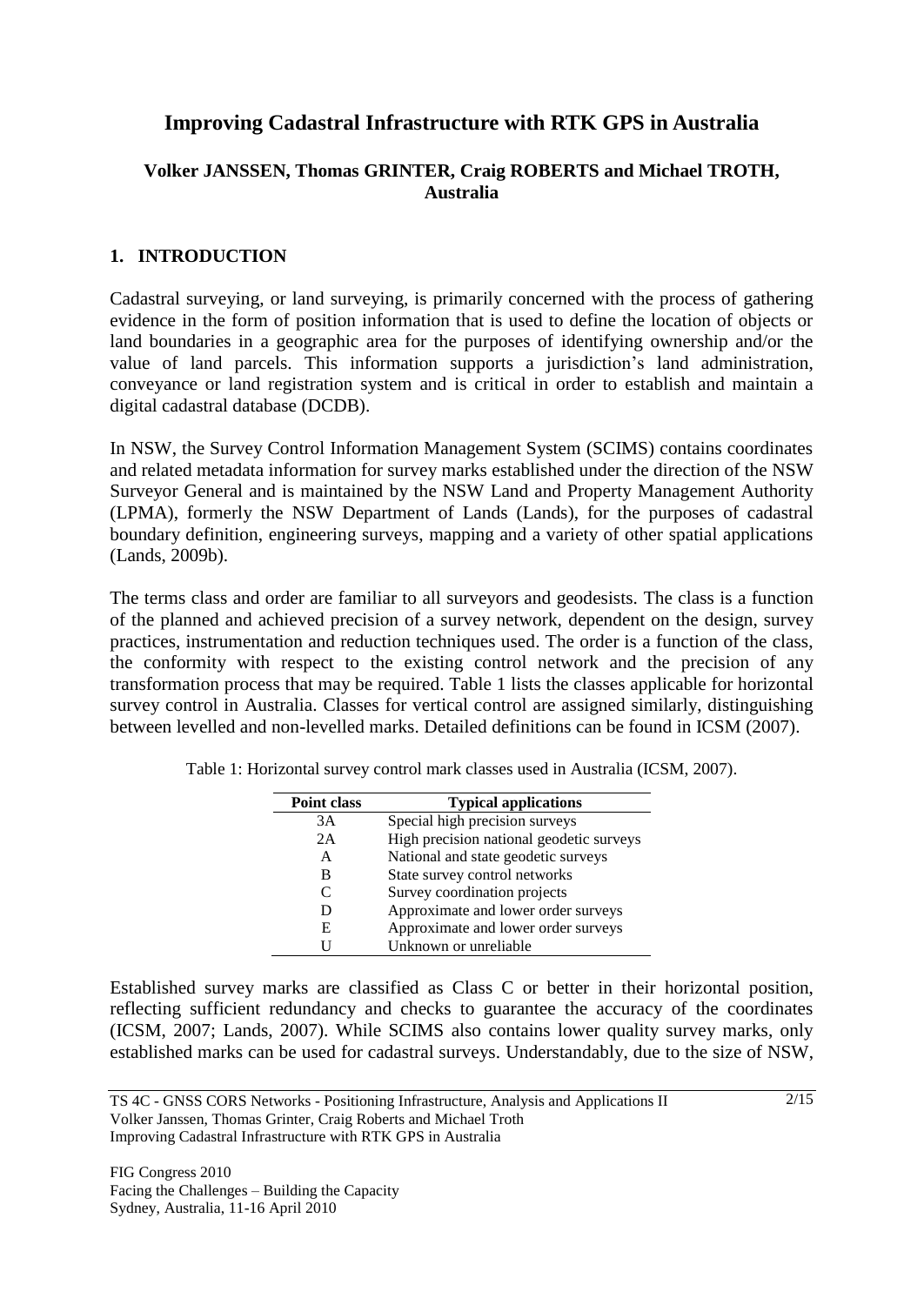# **Improving Cadastral Infrastructure with RTK GPS in Australia**

# **Volker JANSSEN, Thomas GRINTER, Craig ROBERTS and Michael TROTH, Australia**

# **1. INTRODUCTION**

Cadastral surveying, or land surveying, is primarily concerned with the process of gathering evidence in the form of position information that is used to define the location of objects or land boundaries in a geographic area for the purposes of identifying ownership and/or the value of land parcels. This information supports a jurisdiction's land administration, conveyance or land registration system and is critical in order to establish and maintain a digital cadastral database (DCDB).

In NSW, the Survey Control Information Management System (SCIMS) contains coordinates and related metadata information for survey marks established under the direction of the NSW Surveyor General and is maintained by the NSW Land and Property Management Authority (LPMA), formerly the NSW Department of Lands (Lands), for the purposes of cadastral boundary definition, engineering surveys, mapping and a variety of other spatial applications (Lands, 2009b).

The terms class and order are familiar to all surveyors and geodesists. The class is a function of the planned and achieved precision of a survey network, dependent on the design, survey practices, instrumentation and reduction techniques used. The order is a function of the class, the conformity with respect to the existing control network and the precision of any transformation process that may be required. Table 1 lists the classes applicable for horizontal survey control in Australia. Classes for vertical control are assigned similarly, distinguishing between levelled and non-levelled marks. Detailed definitions can be found in ICSM (2007).

| <b>Point class</b> | <b>Typical applications</b>              |
|--------------------|------------------------------------------|
| 3A                 | Special high precision surveys           |
| 2A                 | High precision national geodetic surveys |
| A                  | National and state geodetic surveys      |
| B                  | State survey control networks            |
| C                  | Survey coordination projects             |
| D                  | Approximate and lower order surveys      |
| E                  | Approximate and lower order surveys      |
| Н                  | Unknown or unreliable                    |

Table 1: Horizontal survey control mark classes used in Australia (ICSM, 2007).

Established survey marks are classified as Class C or better in their horizontal position, reflecting sufficient redundancy and checks to guarantee the accuracy of the coordinates (ICSM, 2007; Lands, 2007). While SCIMS also contains lower quality survey marks, only established marks can be used for cadastral surveys. Understandably, due to the size of NSW,

TS 4C - GNSS CORS Networks - Positioning Infrastructure, Analysis and Applications II Volker Janssen, Thomas Grinter, Craig Roberts and Michael Troth Improving Cadastral Infrastructure with RTK GPS in Australia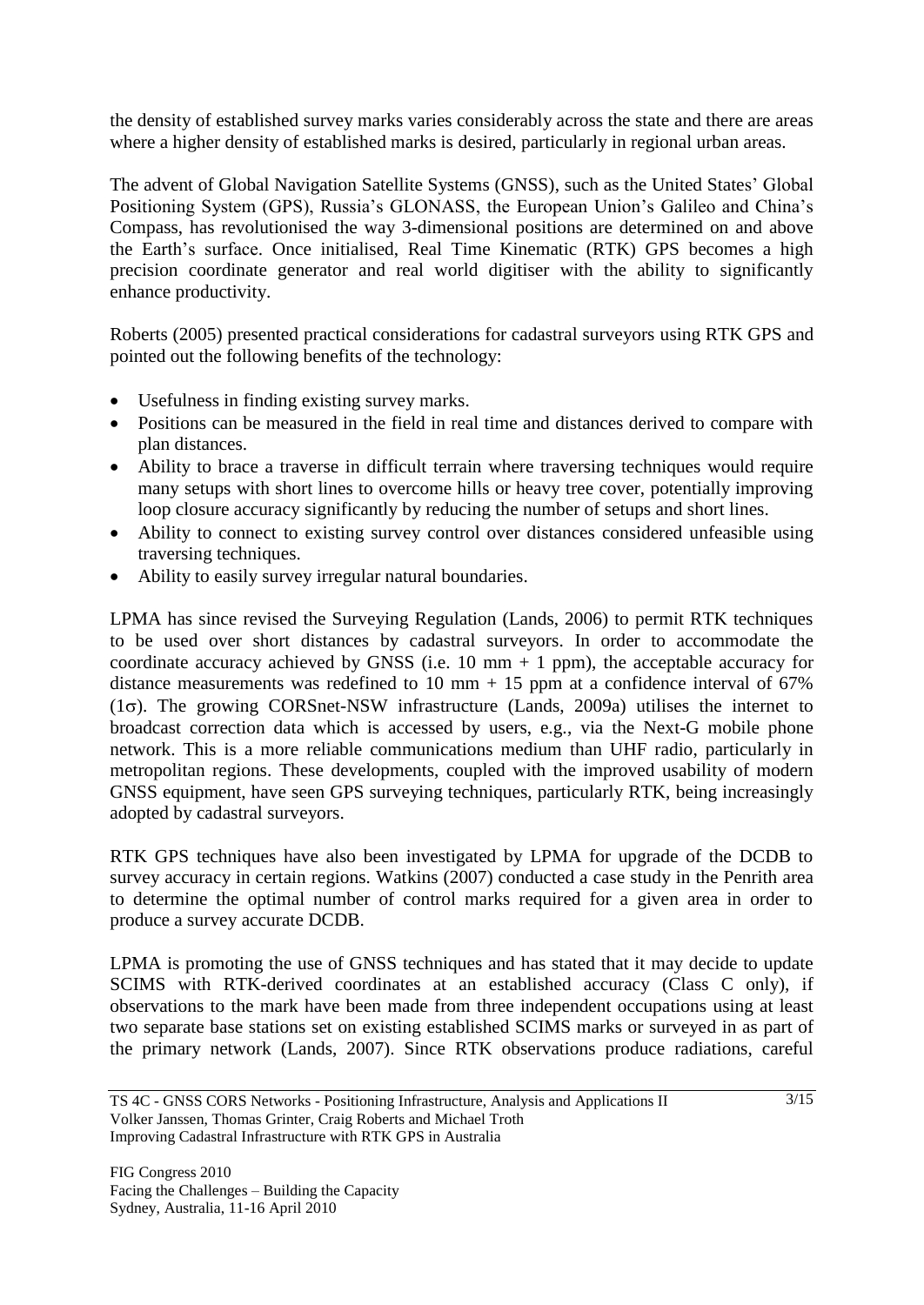the density of established survey marks varies considerably across the state and there are areas where a higher density of established marks is desired, particularly in regional urban areas.

The advent of Global Navigation Satellite Systems (GNSS), such as the United States' Global Positioning System (GPS), Russia's GLONASS, the European Union's Galileo and China's Compass, has revolutionised the way 3-dimensional positions are determined on and above the Earth's surface. Once initialised, Real Time Kinematic (RTK) GPS becomes a high precision coordinate generator and real world digitiser with the ability to significantly enhance productivity.

Roberts (2005) presented practical considerations for cadastral surveyors using RTK GPS and pointed out the following benefits of the technology:

- Usefulness in finding existing survey marks.
- Positions can be measured in the field in real time and distances derived to compare with plan distances.
- Ability to brace a traverse in difficult terrain where traversing techniques would require many setups with short lines to overcome hills or heavy tree cover, potentially improving loop closure accuracy significantly by reducing the number of setups and short lines.
- Ability to connect to existing survey control over distances considered unfeasible using traversing techniques.
- Ability to easily survey irregular natural boundaries.

LPMA has since revised the Surveying Regulation (Lands, 2006) to permit RTK techniques to be used over short distances by cadastral surveyors. In order to accommodate the coordinate accuracy achieved by GNSS (i.e. 10 mm  $+$  1 ppm), the acceptable accuracy for distance measurements was redefined to 10 mm  $+$  15 ppm at a confidence interval of 67%  $(1\sigma)$ . The growing CORSnet-NSW infrastructure (Lands, 2009a) utilises the internet to broadcast correction data which is accessed by users, e.g., via the Next-G mobile phone network. This is a more reliable communications medium than UHF radio, particularly in metropolitan regions. These developments, coupled with the improved usability of modern GNSS equipment, have seen GPS surveying techniques, particularly RTK, being increasingly adopted by cadastral surveyors.

RTK GPS techniques have also been investigated by LPMA for upgrade of the DCDB to survey accuracy in certain regions. Watkins (2007) conducted a case study in the Penrith area to determine the optimal number of control marks required for a given area in order to produce a survey accurate DCDB.

LPMA is promoting the use of GNSS techniques and has stated that it may decide to update SCIMS with RTK-derived coordinates at an established accuracy (Class C only), if observations to the mark have been made from three independent occupations using at least two separate base stations set on existing established SCIMS marks or surveyed in as part of the primary network (Lands, 2007). Since RTK observations produce radiations, careful

TS 4C - GNSS CORS Networks - Positioning Infrastructure, Analysis and Applications II Volker Janssen, Thomas Grinter, Craig Roberts and Michael Troth Improving Cadastral Infrastructure with RTK GPS in Australia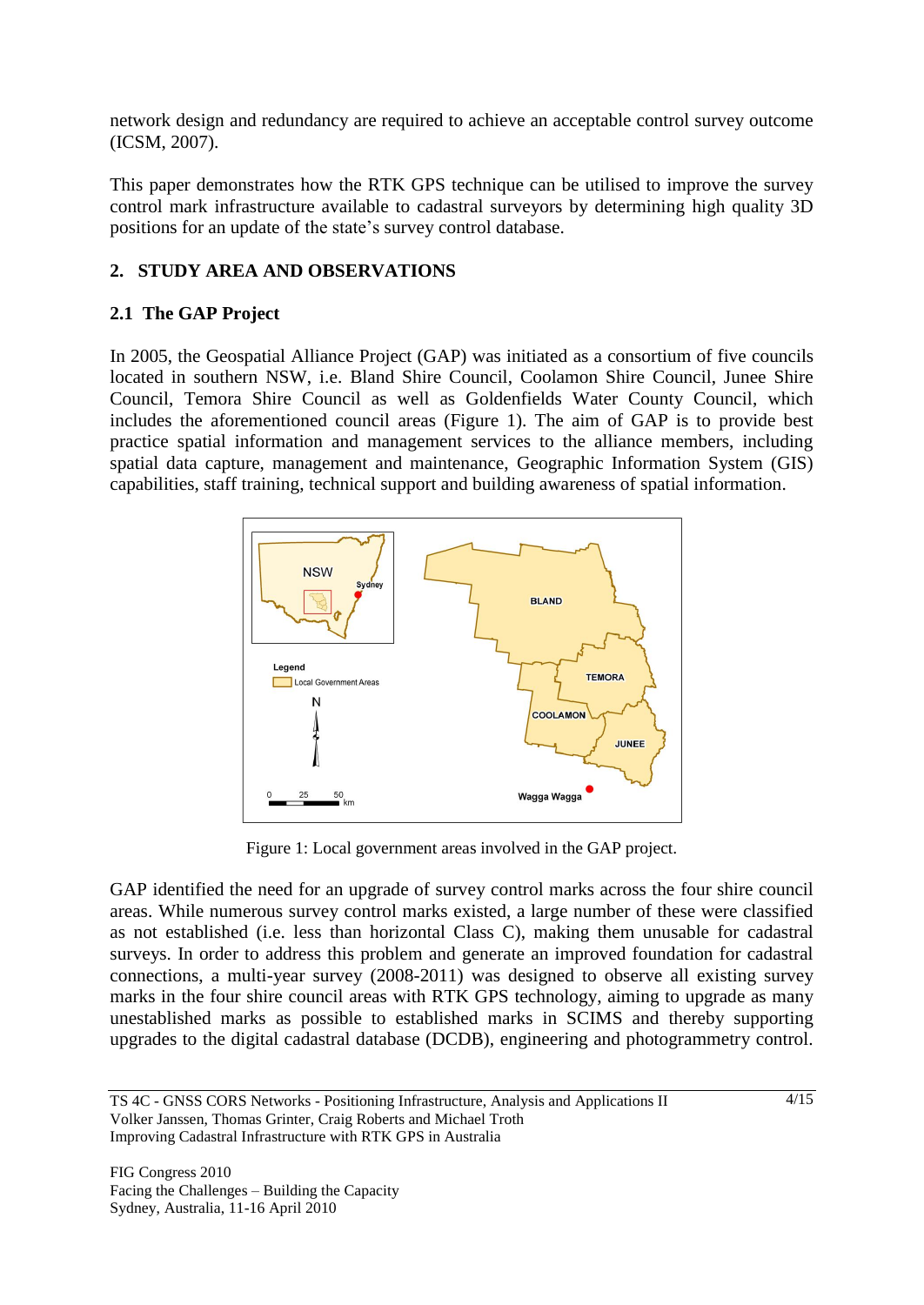network design and redundancy are required to achieve an acceptable control survey outcome (ICSM, 2007).

This paper demonstrates how the RTK GPS technique can be utilised to improve the survey control mark infrastructure available to cadastral surveyors by determining high quality 3D positions for an update of the state's survey control database.

# **2. STUDY AREA AND OBSERVATIONS**

# **2.1 The GAP Project**

In 2005, the Geospatial Alliance Project (GAP) was initiated as a consortium of five councils located in southern NSW, i.e. Bland Shire Council, Coolamon Shire Council, Junee Shire Council, Temora Shire Council as well as Goldenfields Water County Council, which includes the aforementioned council areas (Figure 1). The aim of GAP is to provide best practice spatial information and management services to the alliance members, including spatial data capture, management and maintenance, Geographic Information System (GIS) capabilities, staff training, technical support and building awareness of spatial information.



Figure 1: Local government areas involved in the GAP project.

GAP identified the need for an upgrade of survey control marks across the four shire council areas. While numerous survey control marks existed, a large number of these were classified as not established (i.e. less than horizontal Class C), making them unusable for cadastral surveys. In order to address this problem and generate an improved foundation for cadastral connections, a multi-year survey (2008-2011) was designed to observe all existing survey marks in the four shire council areas with RTK GPS technology, aiming to upgrade as many unestablished marks as possible to established marks in SCIMS and thereby supporting upgrades to the digital cadastral database (DCDB), engineering and photogrammetry control.

TS 4C - GNSS CORS Networks - Positioning Infrastructure, Analysis and Applications II Volker Janssen, Thomas Grinter, Craig Roberts and Michael Troth Improving Cadastral Infrastructure with RTK GPS in Australia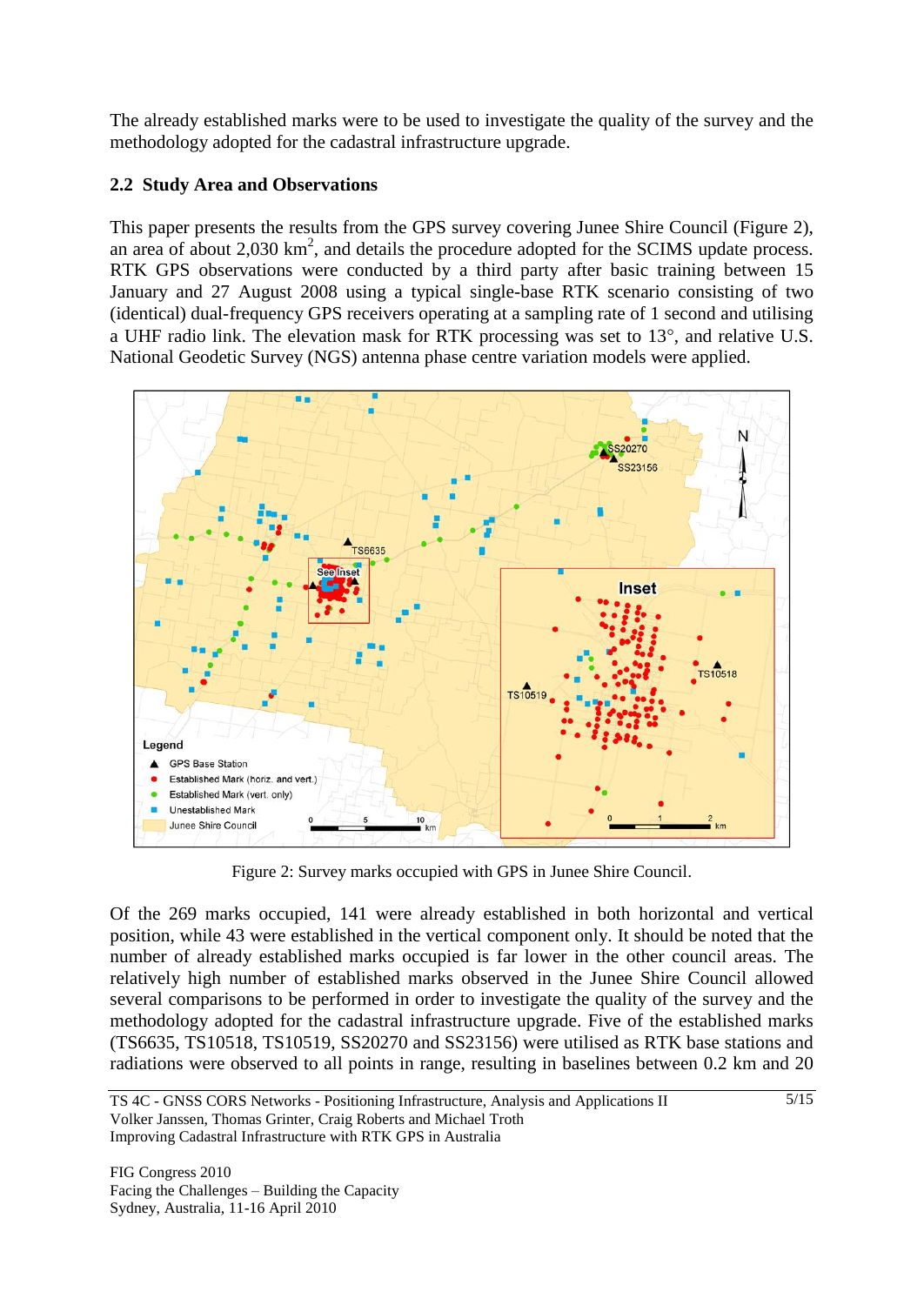The already established marks were to be used to investigate the quality of the survey and the methodology adopted for the cadastral infrastructure upgrade.

# **2.2 Study Area and Observations**

This paper presents the results from the GPS survey covering Junee Shire Council (Figure 2), an area of about  $2,030 \text{ km}^2$ , and details the procedure adopted for the SCIMS update process. RTK GPS observations were conducted by a third party after basic training between 15 January and 27 August 2008 using a typical single-base RTK scenario consisting of two (identical) dual-frequency GPS receivers operating at a sampling rate of 1 second and utilising a UHF radio link. The elevation mask for RTK processing was set to  $13^{\circ}$ , and relative U.S. National Geodetic Survey (NGS) antenna phase centre variation models were applied.



Figure 2: Survey marks occupied with GPS in Junee Shire Council.

Of the 269 marks occupied, 141 were already established in both horizontal and vertical position, while 43 were established in the vertical component only. It should be noted that the number of already established marks occupied is far lower in the other council areas. The relatively high number of established marks observed in the Junee Shire Council allowed several comparisons to be performed in order to investigate the quality of the survey and the methodology adopted for the cadastral infrastructure upgrade. Five of the established marks (TS6635, TS10518, TS10519, SS20270 and SS23156) were utilised as RTK base stations and radiations were observed to all points in range, resulting in baselines between 0.2 km and 20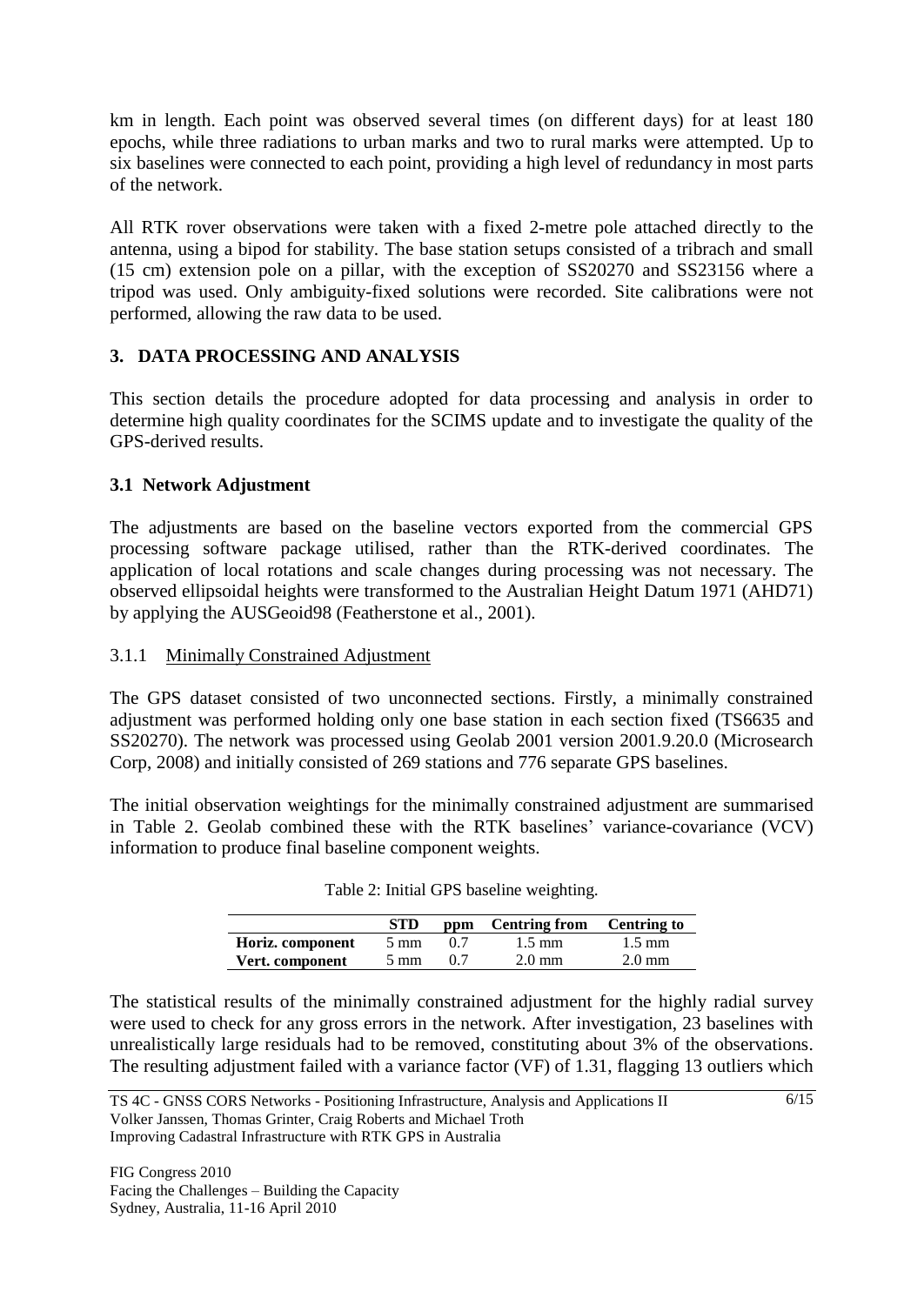km in length. Each point was observed several times (on different days) for at least 180 epochs, while three radiations to urban marks and two to rural marks were attempted. Up to six baselines were connected to each point, providing a high level of redundancy in most parts of the network.

All RTK rover observations were taken with a fixed 2-metre pole attached directly to the antenna, using a bipod for stability. The base station setups consisted of a tribrach and small (15 cm) extension pole on a pillar, with the exception of SS20270 and SS23156 where a tripod was used. Only ambiguity-fixed solutions were recorded. Site calibrations were not performed, allowing the raw data to be used.

# **3. DATA PROCESSING AND ANALYSIS**

This section details the procedure adopted for data processing and analysis in order to determine high quality coordinates for the SCIMS update and to investigate the quality of the GPS-derived results.

# **3.1 Network Adjustment**

The adjustments are based on the baseline vectors exported from the commercial GPS processing software package utilised, rather than the RTK-derived coordinates. The application of local rotations and scale changes during processing was not necessary. The observed ellipsoidal heights were transformed to the Australian Height Datum 1971 (AHD71) by applying the AUSGeoid98 (Featherstone et al., 2001).

#### 3.1.1 Minimally Constrained Adjustment

The GPS dataset consisted of two unconnected sections. Firstly, a minimally constrained adjustment was performed holding only one base station in each section fixed (TS6635 and SS20270). The network was processed using Geolab 2001 version 2001.9.20.0 (Microsearch Corp, 2008) and initially consisted of 269 stations and 776 separate GPS baselines.

The initial observation weightings for the minimally constrained adjustment are summarised in Table 2. Geolab combined these with the RTK baselines' variance-covariance (VCV) information to produce final baseline component weights.

|                  | <b>STD</b>     | ppm | <b>Centring from</b> | <b>Centring to</b> |
|------------------|----------------|-----|----------------------|--------------------|
| Horiz. component | $5 \text{ mm}$ |     | $1.5 \text{ mm}$     | $1.5 \text{ mm}$   |
| Vert. component  | $5 \text{ mm}$ |     | $2.0 \text{ mm}$     | $2.0 \text{ mm}$   |

| Table 2: Initial GPS baseline weighting. |  |  |
|------------------------------------------|--|--|
|                                          |  |  |

The statistical results of the minimally constrained adjustment for the highly radial survey were used to check for any gross errors in the network. After investigation, 23 baselines with unrealistically large residuals had to be removed, constituting about 3% of the observations. The resulting adjustment failed with a variance factor (VF) of 1.31, flagging 13 outliers which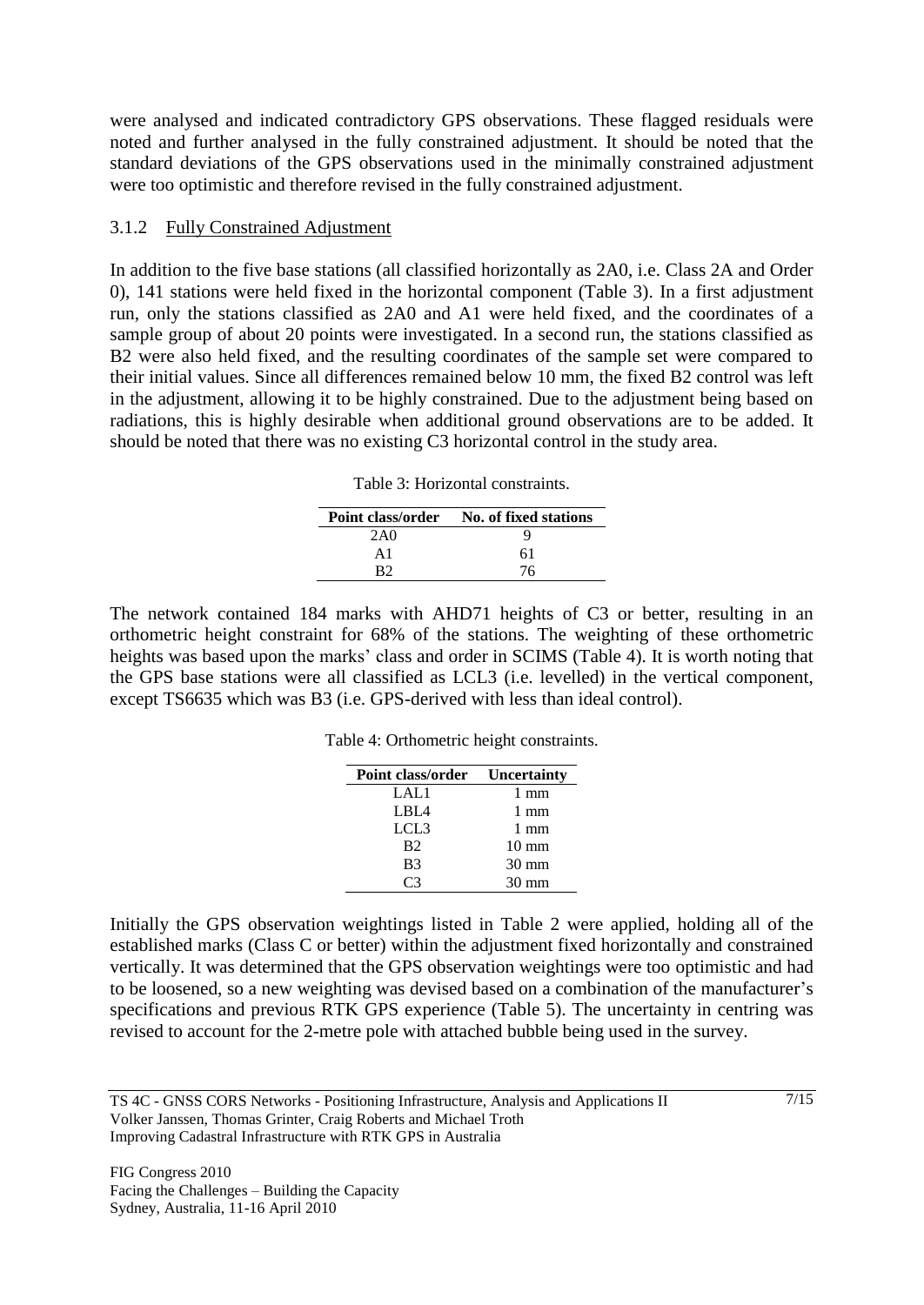were analysed and indicated contradictory GPS observations. These flagged residuals were noted and further analysed in the fully constrained adjustment. It should be noted that the standard deviations of the GPS observations used in the minimally constrained adjustment were too optimistic and therefore revised in the fully constrained adjustment.

#### 3.1.2 Fully Constrained Adjustment

In addition to the five base stations (all classified horizontally as 2A0, i.e. Class 2A and Order 0), 141 stations were held fixed in the horizontal component (Table 3). In a first adjustment run, only the stations classified as 2A0 and A1 were held fixed, and the coordinates of a sample group of about 20 points were investigated. In a second run, the stations classified as B2 were also held fixed, and the resulting coordinates of the sample set were compared to their initial values. Since all differences remained below 10 mm, the fixed B2 control was left in the adjustment, allowing it to be highly constrained. Due to the adjustment being based on radiations, this is highly desirable when additional ground observations are to be added. It should be noted that there was no existing C3 horizontal control in the study area.

|               | Point class/order No. of fixed stations |
|---------------|-----------------------------------------|
| 2A0           |                                         |
| $\mathbf{A}1$ | 61                                      |
|               | 76                                      |

The network contained 184 marks with AHD71 heights of C3 or better, resulting in an orthometric height constraint for 68% of the stations. The weighting of these orthometric heights was based upon the marks' class and order in SCIMS (Table 4). It is worth noting that the GPS base stations were all classified as LCL3 (i.e. levelled) in the vertical component, except TS6635 which was B3 (i.e. GPS-derived with less than ideal control).

Table 4: Orthometric height constraints.

| <b>Point class/order</b> Uncertainty |                 |
|--------------------------------------|-----------------|
| LAL1                                 | $1 \text{ mm}$  |
| LBI A                                | $1 \text{ mm}$  |
| LCL3                                 | $1 \text{ mm}$  |
| <b>B</b> <sub>2</sub>                | $10 \text{ mm}$ |
| <b>B</b> <sub>3</sub>                | $30 \text{ mm}$ |
|                                      | $30 \text{ mm}$ |

Initially the GPS observation weightings listed in Table 2 were applied, holding all of the established marks (Class C or better) within the adjustment fixed horizontally and constrained vertically. It was determined that the GPS observation weightings were too optimistic and had to be loosened, so a new weighting was devised based on a combination of the manufacturer's specifications and previous RTK GPS experience (Table 5). The uncertainty in centring was revised to account for the 2-metre pole with attached bubble being used in the survey.

TS 4C - GNSS CORS Networks - Positioning Infrastructure, Analysis and Applications II Volker Janssen, Thomas Grinter, Craig Roberts and Michael Troth Improving Cadastral Infrastructure with RTK GPS in Australia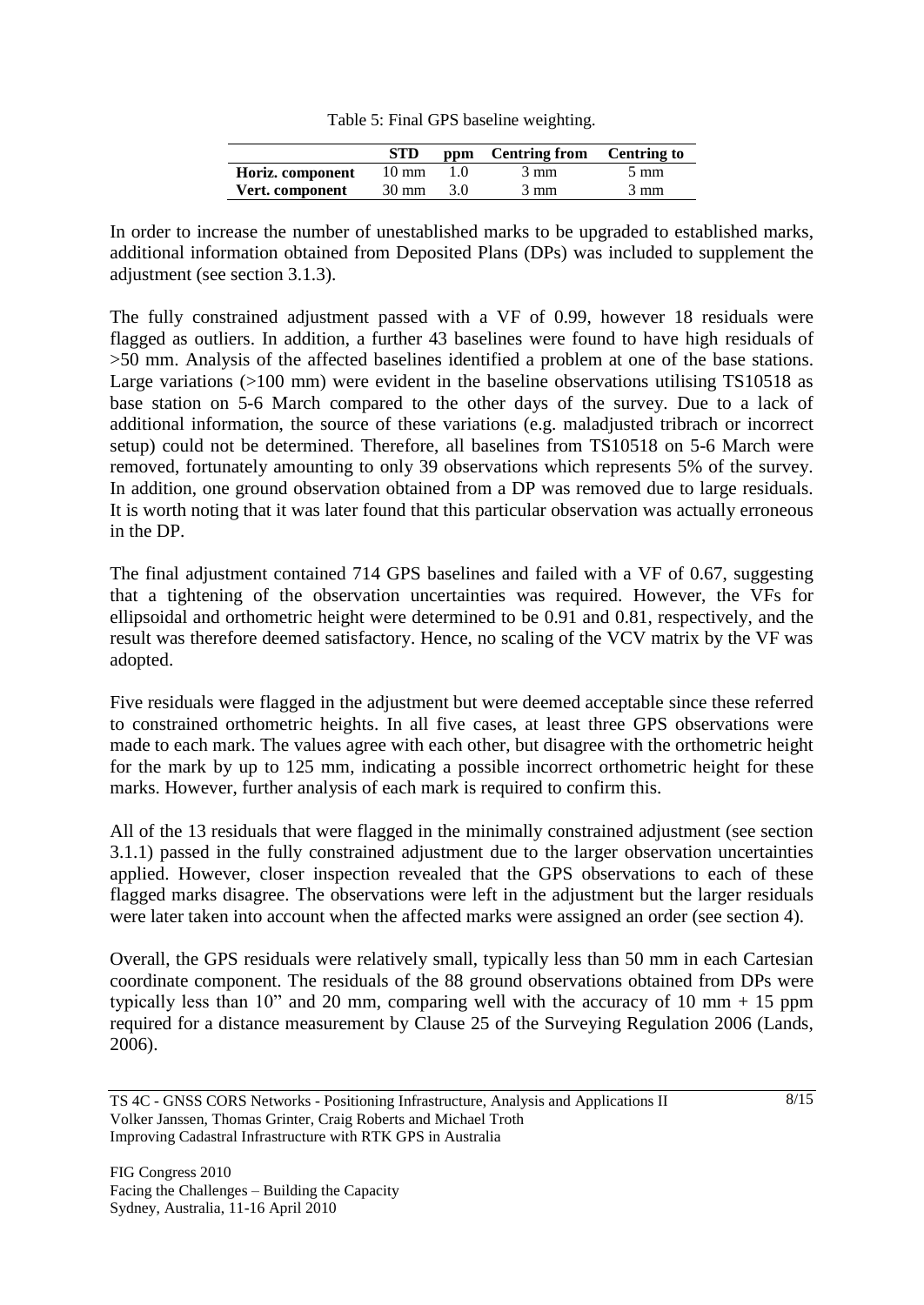| Table 5: Final GPS baseline weighting. |  |  |  |
|----------------------------------------|--|--|--|
|----------------------------------------|--|--|--|

|                  | <b>STD</b>      |     | ppm Centring from Centring to |                |
|------------------|-----------------|-----|-------------------------------|----------------|
| Horiz. component | $10 \text{ mm}$ |     | 3 mm                          | $5 \text{ mm}$ |
| Vert. component  | 30 mm           | 3.0 | 3 mm                          | $3 \text{ mm}$ |

In order to increase the number of unestablished marks to be upgraded to established marks, additional information obtained from Deposited Plans (DPs) was included to supplement the adjustment (see section 3.1.3).

The fully constrained adjustment passed with a VF of 0.99, however 18 residuals were flagged as outliers. In addition, a further 43 baselines were found to have high residuals of >50 mm. Analysis of the affected baselines identified a problem at one of the base stations. Large variations (>100 mm) were evident in the baseline observations utilising TS10518 as base station on 5-6 March compared to the other days of the survey. Due to a lack of additional information, the source of these variations (e.g. maladjusted tribrach or incorrect setup) could not be determined. Therefore, all baselines from TS10518 on 5-6 March were removed, fortunately amounting to only 39 observations which represents 5% of the survey. In addition, one ground observation obtained from a DP was removed due to large residuals. It is worth noting that it was later found that this particular observation was actually erroneous in the DP.

The final adjustment contained 714 GPS baselines and failed with a VF of 0.67, suggesting that a tightening of the observation uncertainties was required. However, the VFs for ellipsoidal and orthometric height were determined to be 0.91 and 0.81, respectively, and the result was therefore deemed satisfactory. Hence, no scaling of the VCV matrix by the VF was adopted.

Five residuals were flagged in the adjustment but were deemed acceptable since these referred to constrained orthometric heights. In all five cases, at least three GPS observations were made to each mark. The values agree with each other, but disagree with the orthometric height for the mark by up to 125 mm, indicating a possible incorrect orthometric height for these marks. However, further analysis of each mark is required to confirm this.

All of the 13 residuals that were flagged in the minimally constrained adjustment (see section 3.1.1) passed in the fully constrained adjustment due to the larger observation uncertainties applied. However, closer inspection revealed that the GPS observations to each of these flagged marks disagree. The observations were left in the adjustment but the larger residuals were later taken into account when the affected marks were assigned an order (see section 4).

Overall, the GPS residuals were relatively small, typically less than 50 mm in each Cartesian coordinate component. The residuals of the 88 ground observations obtained from DPs were typically less than  $10$ " and  $20$  mm, comparing well with the accuracy of  $10$  mm  $+ 15$  ppm required for a distance measurement by Clause 25 of the Surveying Regulation 2006 (Lands, 2006).

TS 4C - GNSS CORS Networks - Positioning Infrastructure, Analysis and Applications II Volker Janssen, Thomas Grinter, Craig Roberts and Michael Troth Improving Cadastral Infrastructure with RTK GPS in Australia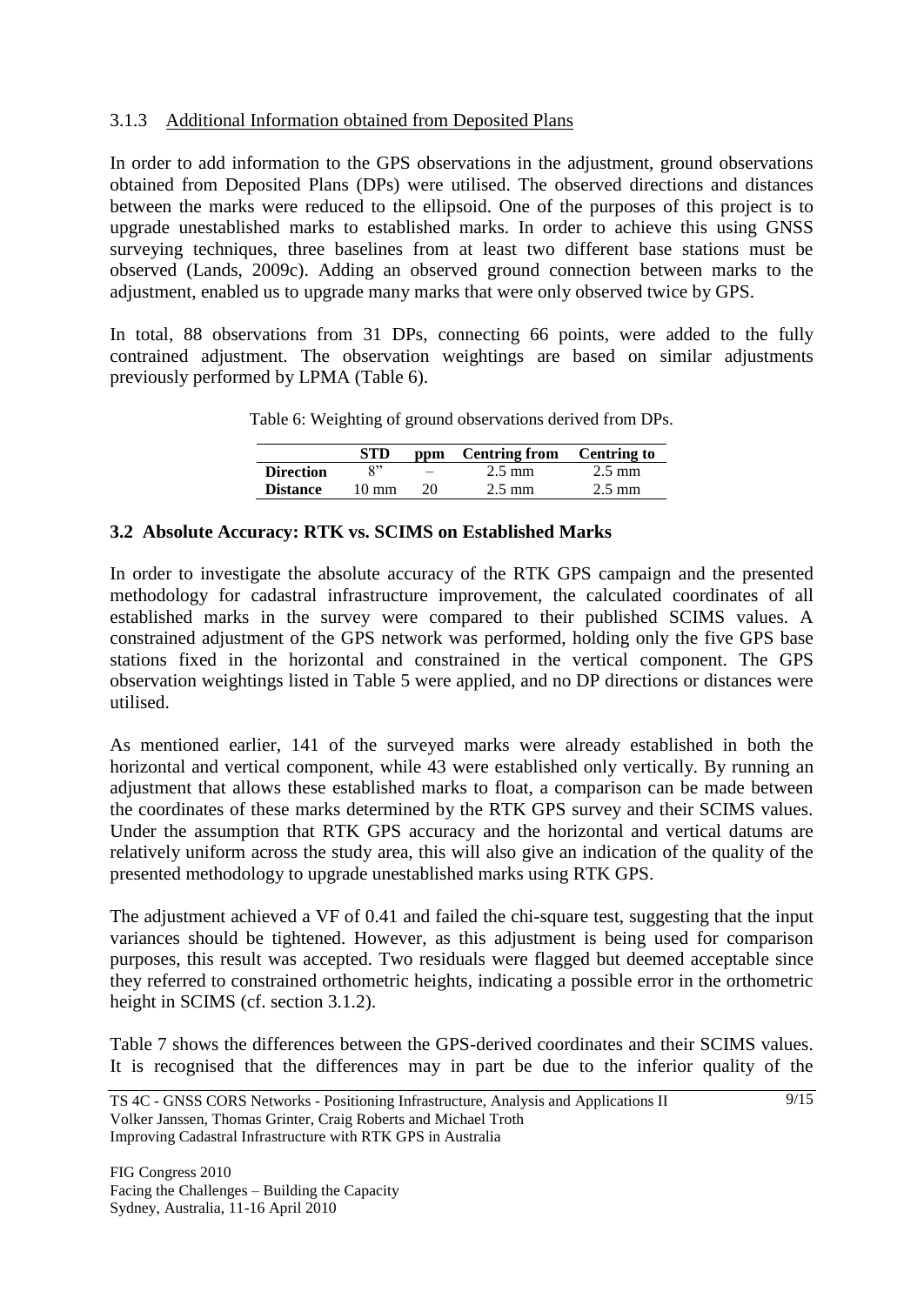### 3.1.3 Additional Information obtained from Deposited Plans

In order to add information to the GPS observations in the adjustment, ground observations obtained from Deposited Plans (DPs) were utilised. The observed directions and distances between the marks were reduced to the ellipsoid. One of the purposes of this project is to upgrade unestablished marks to established marks. In order to achieve this using GNSS surveying techniques, three baselines from at least two different base stations must be observed (Lands, 2009c). Adding an observed ground connection between marks to the adjustment, enabled us to upgrade many marks that were only observed twice by GPS.

In total, 88 observations from 31 DPs, connecting 66 points, were added to the fully contrained adjustment. The observation weightings are based on similar adjustments previously performed by LPMA (Table 6).

|  |  |  | Table 6: Weighting of ground observations derived from DPs. |  |  |
|--|--|--|-------------------------------------------------------------|--|--|
|--|--|--|-------------------------------------------------------------|--|--|

|                  | <b>STD</b>      |    | ppm Centring from Centring to |                  |
|------------------|-----------------|----|-------------------------------|------------------|
| <b>Direction</b> | $\mathbf{Q}$    |    | $2.5 \text{ mm}$              | $2.5 \text{ mm}$ |
| <b>Distance</b>  | $10 \text{ mm}$ | 20 | $2.5 \text{ mm}$              | $2.5 \text{ mm}$ |

#### **3.2 Absolute Accuracy: RTK vs. SCIMS on Established Marks**

In order to investigate the absolute accuracy of the RTK GPS campaign and the presented methodology for cadastral infrastructure improvement, the calculated coordinates of all established marks in the survey were compared to their published SCIMS values. A constrained adjustment of the GPS network was performed, holding only the five GPS base stations fixed in the horizontal and constrained in the vertical component. The GPS observation weightings listed in Table 5 were applied, and no DP directions or distances were utilised.

As mentioned earlier, 141 of the surveyed marks were already established in both the horizontal and vertical component, while 43 were established only vertically. By running an adjustment that allows these established marks to float, a comparison can be made between the coordinates of these marks determined by the RTK GPS survey and their SCIMS values. Under the assumption that RTK GPS accuracy and the horizontal and vertical datums are relatively uniform across the study area, this will also give an indication of the quality of the presented methodology to upgrade unestablished marks using RTK GPS.

The adjustment achieved a VF of 0.41 and failed the chi-square test, suggesting that the input variances should be tightened. However, as this adjustment is being used for comparison purposes, this result was accepted. Two residuals were flagged but deemed acceptable since they referred to constrained orthometric heights, indicating a possible error in the orthometric height in SCIMS (cf. section 3.1.2).

Table 7 shows the differences between the GPS-derived coordinates and their SCIMS values. It is recognised that the differences may in part be due to the inferior quality of the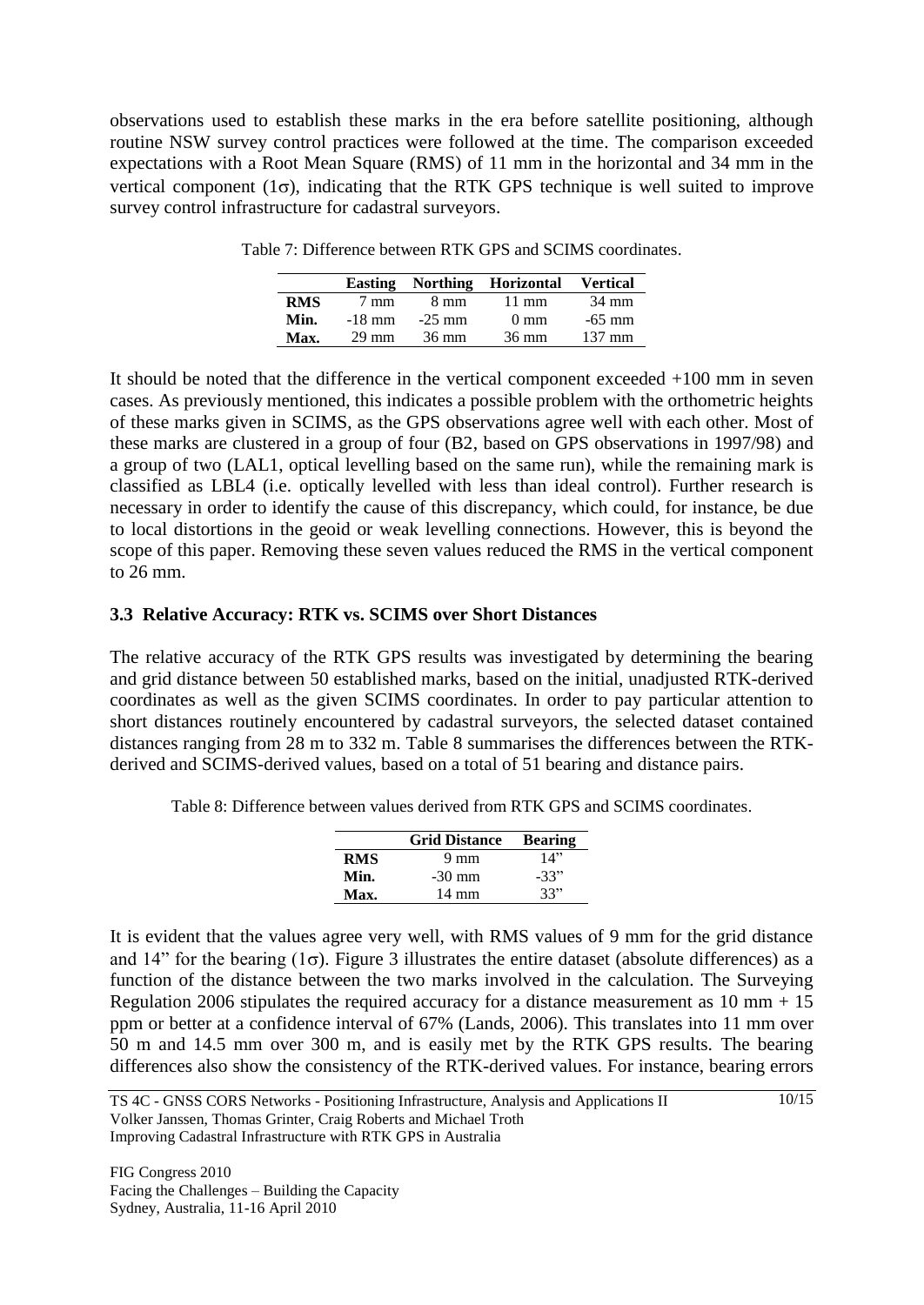observations used to establish these marks in the era before satellite positioning, although routine NSW survey control practices were followed at the time. The comparison exceeded expectations with a Root Mean Square (RMS) of 11 mm in the horizontal and 34 mm in the vertical component ( $1\sigma$ ), indicating that the RTK GPS technique is well suited to improve survey control infrastructure for cadastral surveyors.

|            | <b>Easting</b>  |          | Northing Horizontal | <b>Vertical</b>  |
|------------|-----------------|----------|---------------------|------------------|
| <b>RMS</b> | $7 \text{ mm}$  | 8 mm     | $11 \text{ mm}$     | 34 mm            |
| Min.       | $-18$ mm        | $-25$ mm | $0 \text{ mm}$      | $-65$ mm         |
| Max.       | $29 \text{ mm}$ | 36 mm    | $36 \text{ mm}$     | $137 \text{ mm}$ |

Table 7: Difference between RTK GPS and SCIMS coordinates.

It should be noted that the difference in the vertical component exceeded +100 mm in seven cases. As previously mentioned, this indicates a possible problem with the orthometric heights of these marks given in SCIMS, as the GPS observations agree well with each other. Most of these marks are clustered in a group of four (B2, based on GPS observations in 1997/98) and a group of two (LAL1, optical levelling based on the same run), while the remaining mark is classified as LBL4 (i.e. optically levelled with less than ideal control). Further research is necessary in order to identify the cause of this discrepancy, which could, for instance, be due to local distortions in the geoid or weak levelling connections. However, this is beyond the scope of this paper. Removing these seven values reduced the RMS in the vertical component to 26 mm.

#### **3.3 Relative Accuracy: RTK vs. SCIMS over Short Distances**

The relative accuracy of the RTK GPS results was investigated by determining the bearing and grid distance between 50 established marks, based on the initial, unadjusted RTK-derived coordinates as well as the given SCIMS coordinates. In order to pay particular attention to short distances routinely encountered by cadastral surveyors, the selected dataset contained distances ranging from 28 m to 332 m. Table 8 summarises the differences between the RTKderived and SCIMS-derived values, based on a total of 51 bearing and distance pairs.

Table 8: Difference between values derived from RTK GPS and SCIMS coordinates.

|            | <b>Grid Distance</b> | <b>Bearing</b> |
|------------|----------------------|----------------|
| <b>RMS</b> | $9 \text{ mm}$       | 14"            |
| Min.       | $-30 \text{ mm}$     | $-33"$         |
| Max.       | 14 mm                | 33"            |

It is evident that the values agree very well, with RMS values of 9 mm for the grid distance and 14" for the bearing ( $1\sigma$ ). Figure 3 illustrates the entire dataset (absolute differences) as a function of the distance between the two marks involved in the calculation. The Surveying Regulation 2006 stipulates the required accuracy for a distance measurement as  $10 \text{ mm} + 15$ ppm or better at a confidence interval of 67% (Lands, 2006). This translates into 11 mm over 50 m and 14.5 mm over 300 m, and is easily met by the RTK GPS results. The bearing differences also show the consistency of the RTK-derived values. For instance, bearing errors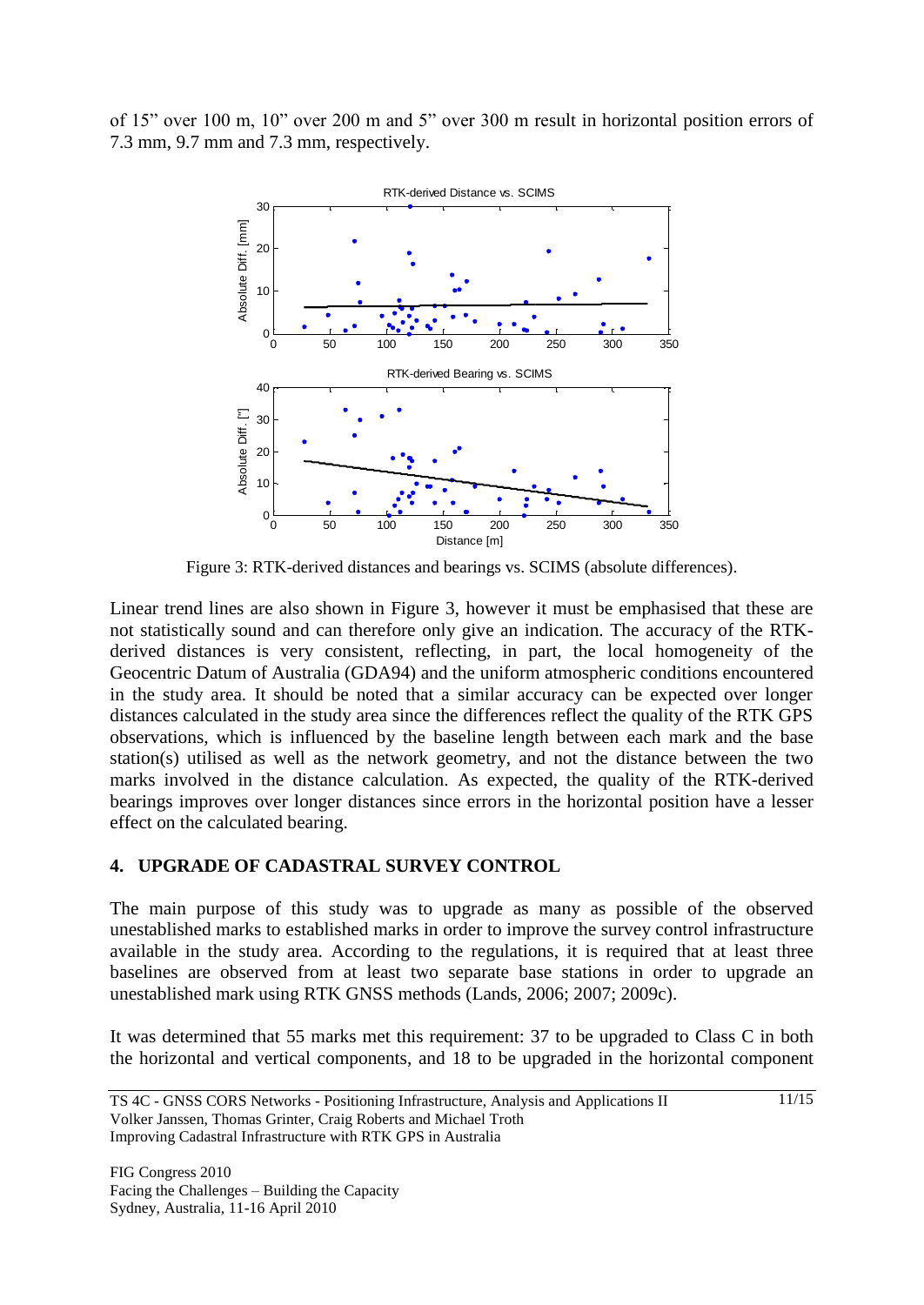of 15" over 100 m, 10" over 200 m and 5" over 300 m result in horizontal position errors of 7.3 mm, 9.7 mm and 7.3 mm, respectively.



Figure 3: RTK-derived distances and bearings vs. SCIMS (absolute differences).

Linear trend lines are also shown in Figure 3, however it must be emphasised that these are not statistically sound and can therefore only give an indication. The accuracy of the RTKderived distances is very consistent, reflecting, in part, the local homogeneity of the Geocentric Datum of Australia (GDA94) and the uniform atmospheric conditions encountered in the study area. It should be noted that a similar accuracy can be expected over longer distances calculated in the study area since the differences reflect the quality of the RTK GPS observations, which is influenced by the baseline length between each mark and the base station(s) utilised as well as the network geometry, and not the distance between the two marks involved in the distance calculation. As expected, the quality of the RTK-derived bearings improves over longer distances since errors in the horizontal position have a lesser effect on the calculated bearing.

#### **4. UPGRADE OF CADASTRAL SURVEY CONTROL**

The main purpose of this study was to upgrade as many as possible of the observed unestablished marks to established marks in order to improve the survey control infrastructure available in the study area. According to the regulations, it is required that at least three baselines are observed from at least two separate base stations in order to upgrade an unestablished mark using RTK GNSS methods (Lands, 2006; 2007; 2009c).

It was determined that 55 marks met this requirement: 37 to be upgraded to Class C in both the horizontal and vertical components, and 18 to be upgraded in the horizontal component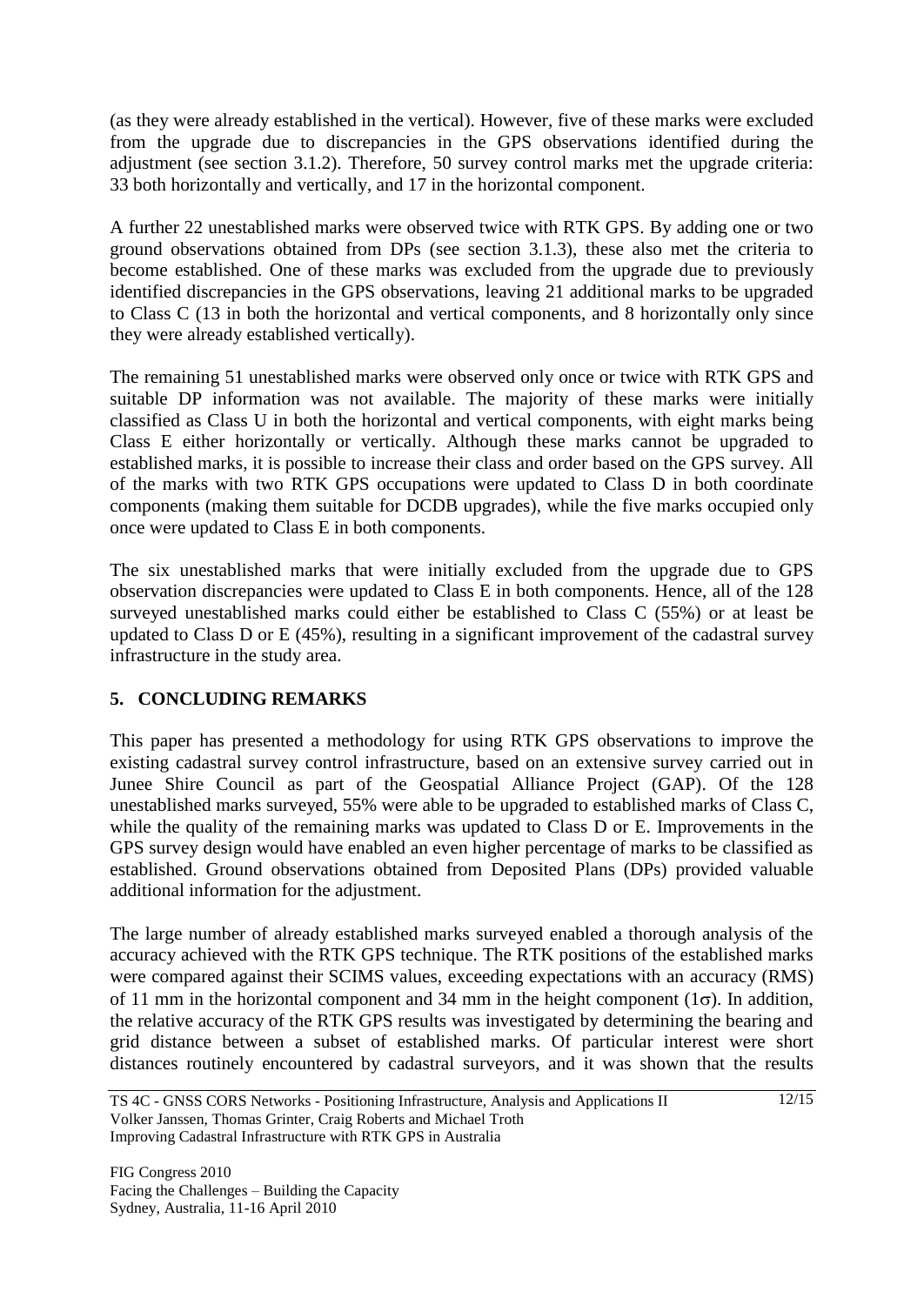(as they were already established in the vertical). However, five of these marks were excluded from the upgrade due to discrepancies in the GPS observations identified during the adjustment (see section 3.1.2). Therefore, 50 survey control marks met the upgrade criteria: 33 both horizontally and vertically, and 17 in the horizontal component.

A further 22 unestablished marks were observed twice with RTK GPS. By adding one or two ground observations obtained from DPs (see section 3.1.3), these also met the criteria to become established. One of these marks was excluded from the upgrade due to previously identified discrepancies in the GPS observations, leaving 21 additional marks to be upgraded to Class C (13 in both the horizontal and vertical components, and 8 horizontally only since they were already established vertically).

The remaining 51 unestablished marks were observed only once or twice with RTK GPS and suitable DP information was not available. The majority of these marks were initially classified as Class U in both the horizontal and vertical components, with eight marks being Class E either horizontally or vertically. Although these marks cannot be upgraded to established marks, it is possible to increase their class and order based on the GPS survey. All of the marks with two RTK GPS occupations were updated to Class D in both coordinate components (making them suitable for DCDB upgrades), while the five marks occupied only once were updated to Class E in both components.

The six unestablished marks that were initially excluded from the upgrade due to GPS observation discrepancies were updated to Class E in both components. Hence, all of the 128 surveyed unestablished marks could either be established to Class C (55%) or at least be updated to Class D or E (45%), resulting in a significant improvement of the cadastral survey infrastructure in the study area.

# **5. CONCLUDING REMARKS**

This paper has presented a methodology for using RTK GPS observations to improve the existing cadastral survey control infrastructure, based on an extensive survey carried out in Junee Shire Council as part of the Geospatial Alliance Project (GAP). Of the 128 unestablished marks surveyed, 55% were able to be upgraded to established marks of Class C, while the quality of the remaining marks was updated to Class D or E. Improvements in the GPS survey design would have enabled an even higher percentage of marks to be classified as established. Ground observations obtained from Deposited Plans (DPs) provided valuable additional information for the adjustment.

The large number of already established marks surveyed enabled a thorough analysis of the accuracy achieved with the RTK GPS technique. The RTK positions of the established marks were compared against their SCIMS values, exceeding expectations with an accuracy (RMS) of 11 mm in the horizontal component and 34 mm in the height component  $(1\sigma)$ . In addition, the relative accuracy of the RTK GPS results was investigated by determining the bearing and grid distance between a subset of established marks. Of particular interest were short distances routinely encountered by cadastral surveyors, and it was shown that the results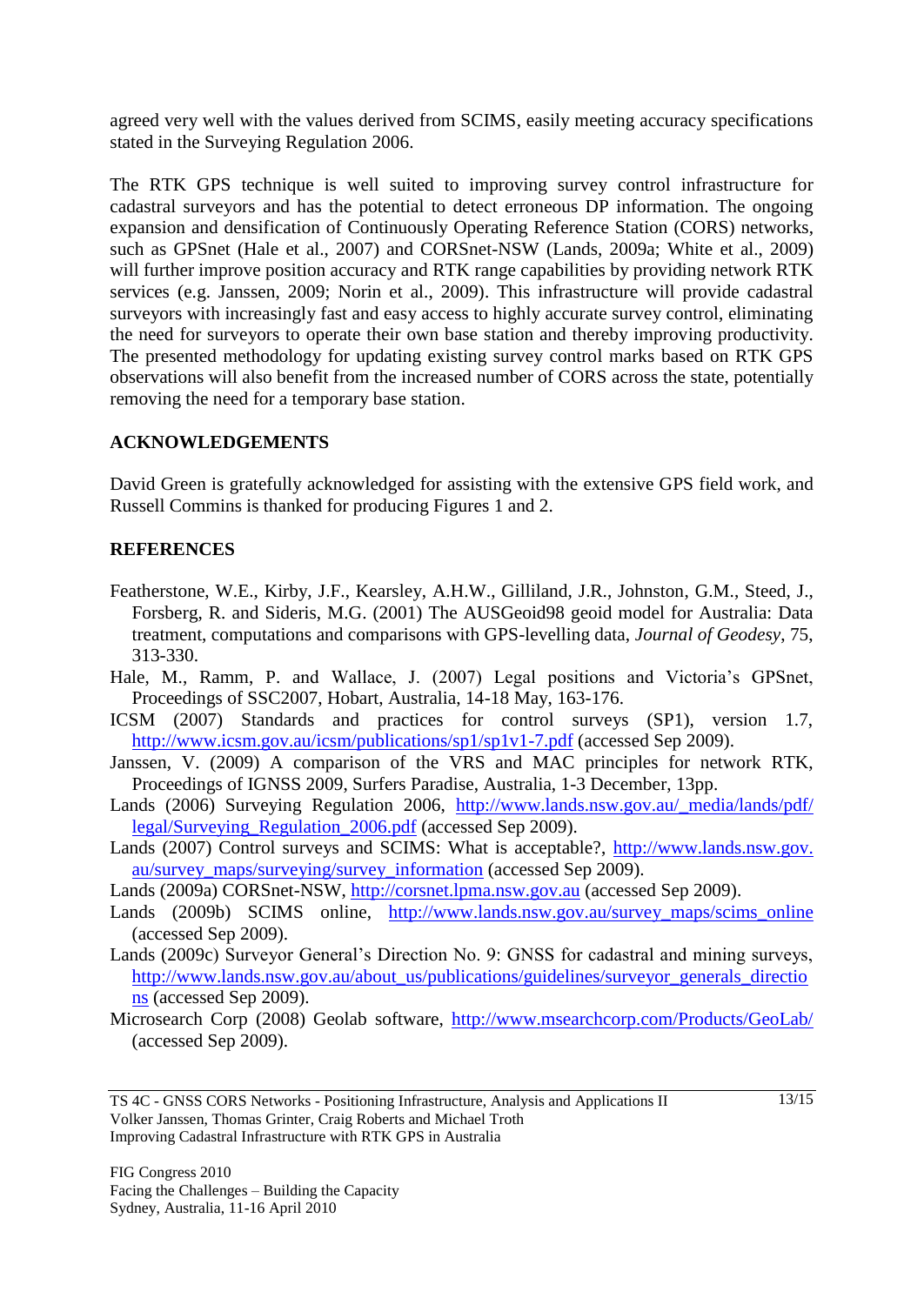agreed very well with the values derived from SCIMS, easily meeting accuracy specifications stated in the Surveying Regulation 2006.

The RTK GPS technique is well suited to improving survey control infrastructure for cadastral surveyors and has the potential to detect erroneous DP information. The ongoing expansion and densification of Continuously Operating Reference Station (CORS) networks, such as GPSnet (Hale et al., 2007) and CORSnet-NSW (Lands, 2009a; White et al., 2009) will further improve position accuracy and RTK range capabilities by providing network RTK services (e.g. Janssen, 2009; Norin et al., 2009). This infrastructure will provide cadastral surveyors with increasingly fast and easy access to highly accurate survey control, eliminating the need for surveyors to operate their own base station and thereby improving productivity. The presented methodology for updating existing survey control marks based on RTK GPS observations will also benefit from the increased number of CORS across the state, potentially removing the need for a temporary base station.

#### **ACKNOWLEDGEMENTS**

David Green is gratefully acknowledged for assisting with the extensive GPS field work, and Russell Commins is thanked for producing Figures 1 and 2.

#### **REFERENCES**

- Featherstone, W.E., Kirby, J.F., Kearsley, A.H.W., Gilliland, J.R., Johnston, G.M., Steed, J., Forsberg, R. and Sideris, M.G. (2001) The AUSGeoid98 geoid model for Australia: Data treatment, computations and comparisons with GPS-levelling data, *Journal of Geodesy*, 75, 313-330.
- Hale, M., Ramm, P. and Wallace, J. (2007) Legal positions and Victoria's GPSnet, Proceedings of SSC2007, Hobart, Australia, 14-18 May, 163-176.
- ICSM (2007) Standards and practices for control surveys (SP1), version 1.7, <http://www.icsm.gov.au/icsm/publications/sp1/sp1v1-7.pdf> (accessed Sep 2009).
- Janssen, V. (2009) A comparison of the VRS and MAC principles for network RTK, Proceedings of IGNSS 2009, Surfers Paradise, Australia, 1-3 December, 13pp.
- Lands (2006) Surveying Regulation 2006, [http://www.lands.nsw.gov.au/\\_media/lands/pdf/](http://www.lands.nsw.gov.au/_media/lands/pdf/%20legal/Surveying_Regulation_2006.pdf)  legal/Surveying Regulation 2006.pdf (accessed Sep 2009).
- Lands (2007) Control surveys and SCIMS: What is acceptable?, [http://www.lands.nsw.gov.](http://www.lands.nsw.gov.au/survey_maps/surveying/survey_information) [au/survey\\_maps/surveying/survey\\_information](http://www.lands.nsw.gov.au/survey_maps/surveying/survey_information) (accessed Sep 2009).

Lands (2009a) CORSnet-NSW, [http://corsnet.lpma.nsw.gov.au](http://corsnet.lpma.nsw.gov.au/) (accessed Sep 2009).

- Lands (2009b) SCIMS online, [http://www.lands.nsw.gov.au/survey\\_maps/scims\\_online](http://www.lands.nsw.gov.au/survey_maps/scims_online) (accessed Sep 2009).
- Lands (2009c) Surveyor General's Direction No. 9: GNSS for cadastral and mining surveys, [http://www.lands.nsw.gov.au/about\\_us/publications/guidelines/surveyor\\_generals\\_directio](http://www.lands.nsw.gov.au/about_us/publications/guidelines/surveyor_generals_directions) [ns](http://www.lands.nsw.gov.au/about_us/publications/guidelines/surveyor_generals_directions) (accessed Sep 2009).
- Microsearch Corp (2008) Geolab software,<http://www.msearchcorp.com/Products/GeoLab/> (accessed Sep 2009).

TS 4C - GNSS CORS Networks - Positioning Infrastructure, Analysis and Applications II Volker Janssen, Thomas Grinter, Craig Roberts and Michael Troth Improving Cadastral Infrastructure with RTK GPS in Australia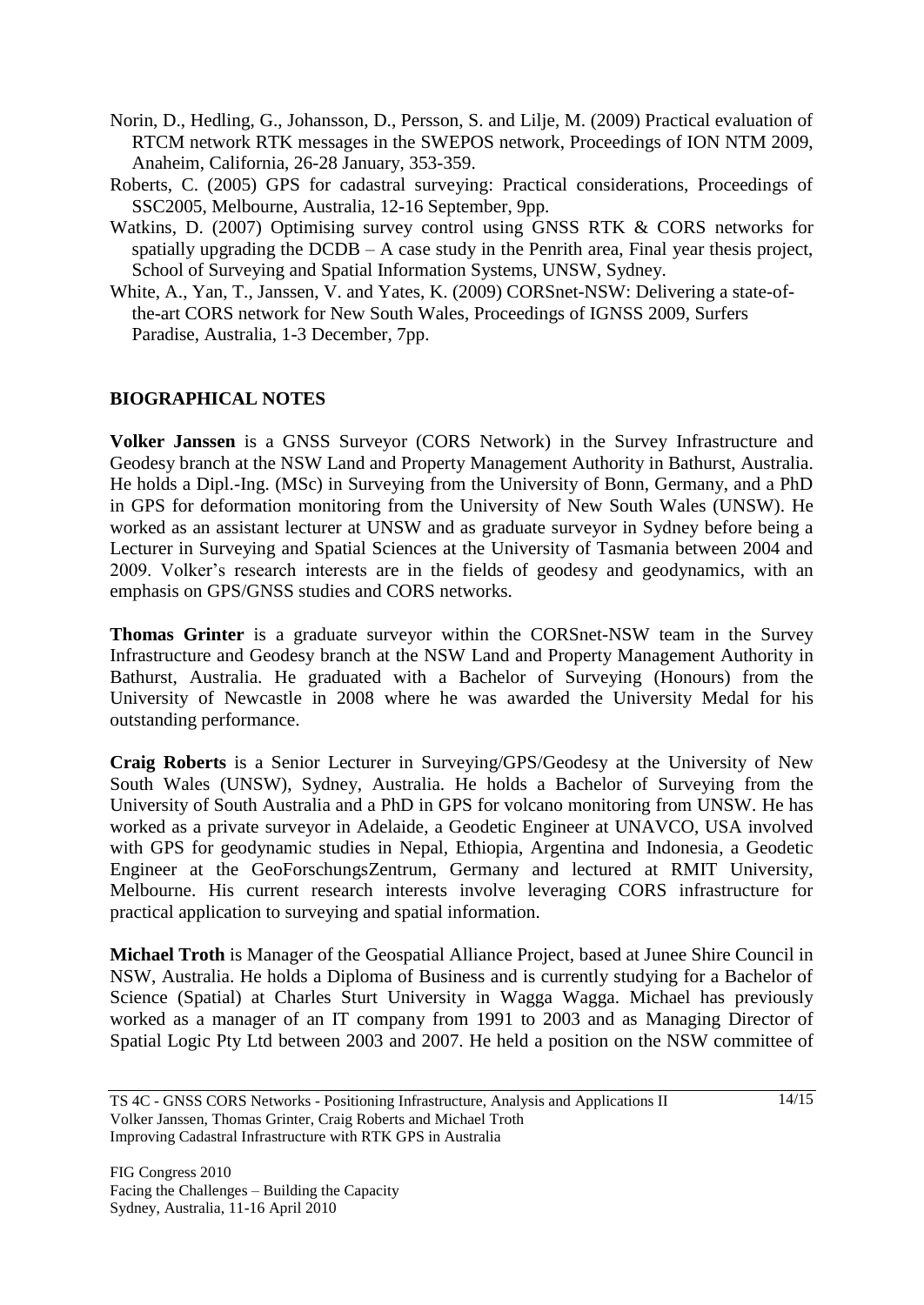- Norin, D., Hedling, G., Johansson, D., Persson, S. and Lilje, M. (2009) Practical evaluation of RTCM network RTK messages in the SWEPOS network, Proceedings of ION NTM 2009, Anaheim, California, 26-28 January, 353-359.
- Roberts, C. (2005) GPS for cadastral surveying: Practical considerations, Proceedings of SSC2005, Melbourne, Australia, 12-16 September, 9pp.
- Watkins, D. (2007) Optimising survey control using GNSS RTK & CORS networks for spatially upgrading the DCDB – A case study in the Penrith area, Final year thesis project, School of Surveying and Spatial Information Systems, UNSW, Sydney.
- White, A., Yan, T., Janssen, V. and Yates, K. (2009) CORSnet-NSW: Delivering a state-ofthe-art CORS network for New South Wales, Proceedings of IGNSS 2009, Surfers Paradise, Australia, 1-3 December, 7pp.

# **BIOGRAPHICAL NOTES**

**Volker Janssen** is a GNSS Surveyor (CORS Network) in the Survey Infrastructure and Geodesy branch at the NSW Land and Property Management Authority in Bathurst, Australia. He holds a Dipl.-Ing. (MSc) in Surveying from the University of Bonn, Germany, and a PhD in GPS for deformation monitoring from the University of New South Wales (UNSW). He worked as an assistant lecturer at UNSW and as graduate surveyor in Sydney before being a Lecturer in Surveying and Spatial Sciences at the University of Tasmania between 2004 and 2009. Volker's research interests are in the fields of geodesy and geodynamics, with an emphasis on GPS/GNSS studies and CORS networks.

**Thomas Grinter** is a graduate surveyor within the CORSnet-NSW team in the Survey Infrastructure and Geodesy branch at the NSW Land and Property Management Authority in Bathurst, Australia. He graduated with a Bachelor of Surveying (Honours) from the University of Newcastle in 2008 where he was awarded the University Medal for his outstanding performance.

**Craig Roberts** is a Senior Lecturer in Surveying/GPS/Geodesy at the University of New South Wales (UNSW), Sydney, Australia. He holds a Bachelor of Surveying from the University of South Australia and a PhD in GPS for volcano monitoring from UNSW. He has worked as a private surveyor in Adelaide, a Geodetic Engineer at UNAVCO, USA involved with GPS for geodynamic studies in Nepal, Ethiopia, Argentina and Indonesia, a Geodetic Engineer at the GeoForschungsZentrum, Germany and lectured at RMIT University, Melbourne. His current research interests involve leveraging CORS infrastructure for practical application to surveying and spatial information.

**Michael Troth** is Manager of the Geospatial Alliance Project, based at Junee Shire Council in NSW, Australia. He holds a Diploma of Business and is currently studying for a Bachelor of Science (Spatial) at Charles Sturt University in Wagga Wagga. Michael has previously worked as a manager of an IT company from 1991 to 2003 and as Managing Director of Spatial Logic Pty Ltd between 2003 and 2007. He held a position on the NSW committee of

TS 4C - GNSS CORS Networks - Positioning Infrastructure, Analysis and Applications II Volker Janssen, Thomas Grinter, Craig Roberts and Michael Troth Improving Cadastral Infrastructure with RTK GPS in Australia